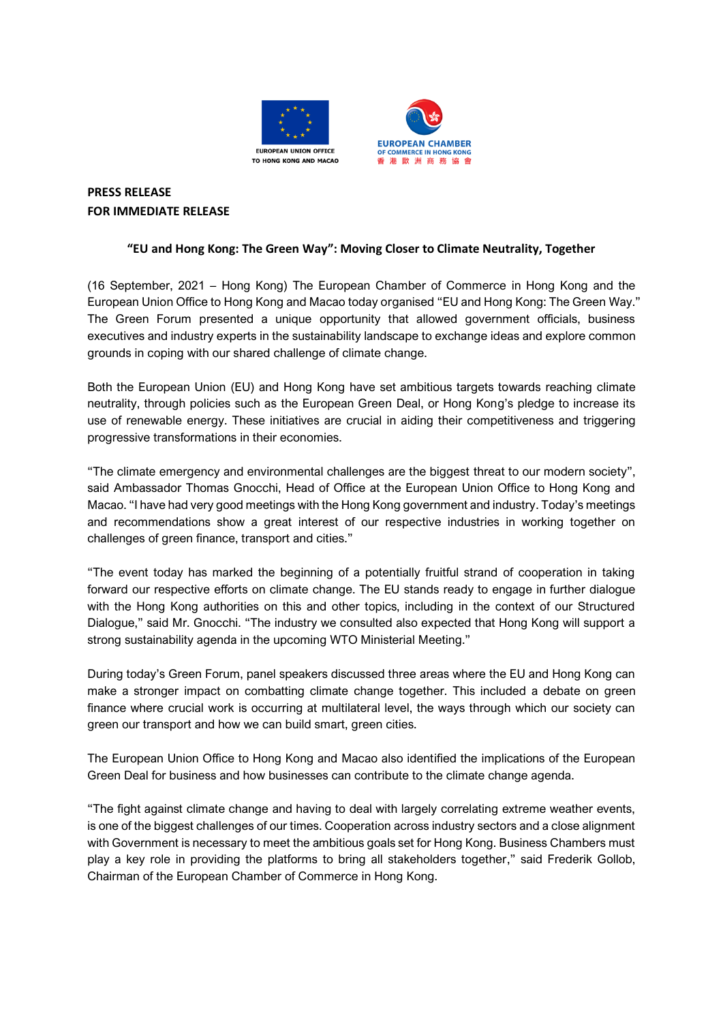



# **PRESS RELEASE FOR IMMEDIATE RELEASE**

## **"EU and Hong Kong: The Green Way": Moving Closer to Climate Neutrality, Together**

(16 September, 2021 – Hong Kong) The European Chamber of Commerce in Hong Kong and the European Union Office to Hong Kong and Macao today organised "EU and Hong Kong: The Green Way." The Green Forum presented a unique opportunity that allowed government officials, business executives and industry experts in the sustainability landscape to exchange ideas and explore common grounds in coping with our shared challenge of climate change.

Both the European Union (EU) and Hong Kong have set ambitious targets towards reaching climate neutrality, through policies such as the European Green Deal, or Hong Kong's pledge to increase its use of renewable energy. These initiatives are crucial in aiding their competitiveness and triggering progressive transformations in their economies.

"The climate emergency and environmental challenges are the biggest threat to our modern society", said Ambassador Thomas Gnocchi, Head of Office at the European Union Office to Hong Kong and Macao. "I have had very good meetings with the Hong Kong government and industry. Today's meetings and recommendations show a great interest of our respective industries in working together on challenges of green finance, transport and cities."

"The event today has marked the beginning of a potentially fruitful strand of cooperation in taking forward our respective efforts on climate change. The EU stands ready to engage in further dialogue with the Hong Kong authorities on this and other topics, including in the context of our Structured Dialogue," said Mr. Gnocchi. "The industry we consulted also expected that Hong Kong will support a strong sustainability agenda in the upcoming WTO Ministerial Meeting."

During today's Green Forum, panel speakers discussed three areas where the EU and Hong Kong can make a stronger impact on combatting climate change together. This included a debate on green finance where crucial work is occurring at multilateral level, the ways through which our society can green our transport and how we can build smart, green cities.

The European Union Office to Hong Kong and Macao also identified the implications of the European Green Deal for business and how businesses can contribute to the climate change agenda.

"The fight against climate change and having to deal with largely correlating extreme weather events, is one of the biggest challenges of our times. Cooperation across industry sectors and a close alignment with Government is necessary to meet the ambitious goals set for Hong Kong. Business Chambers must play a key role in providing the platforms to bring all stakeholders together," said Frederik Gollob, Chairman of the European Chamber of Commerce in Hong Kong.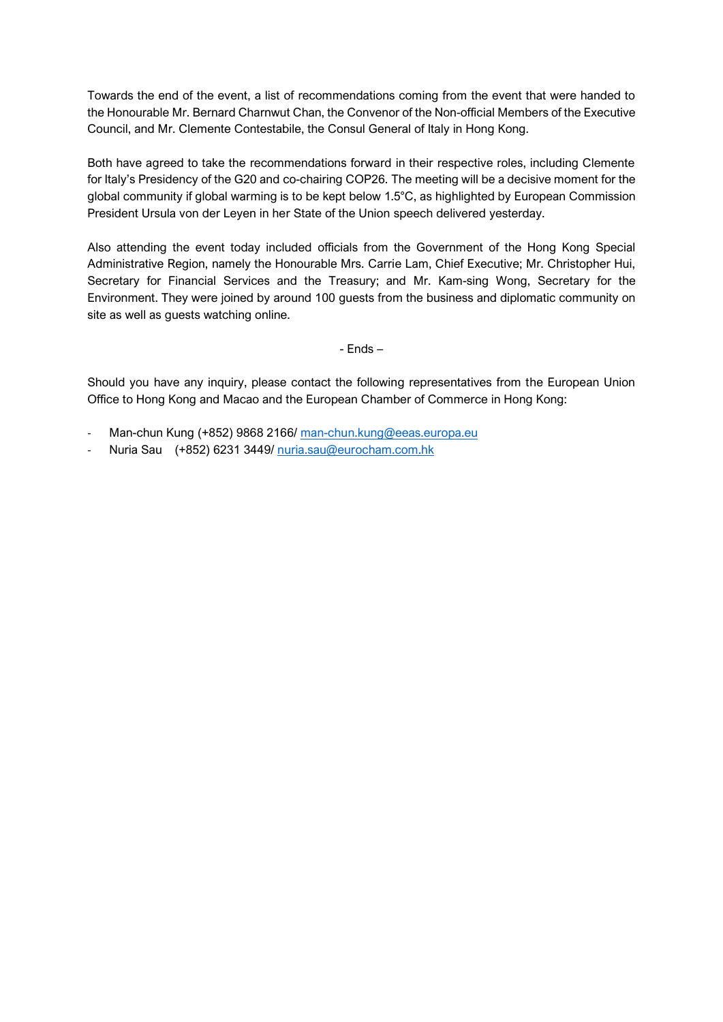Towards the end of the event, a list of recommendations coming from the event that were handed to the Honourable Mr. Bernard Charnwut Chan, the Convenor of the Non-official Members of the Executive Council, and Mr. Clemente Contestabile, the Consul General of Italy in Hong Kong.

Both have agreed to take the recommendations forward in their respective roles, including Clemente for Italy's Presidency of the G20 and co-chairing COP26. The meeting will be a decisive moment for the global community if global warming is to be kept below 1.5°C, as highlighted by European Commission President Ursula von der Leyen in her State of the Union speech delivered yesterday.

Also attending the event today included officials from the Government of the Hong Kong Special Administrative Region, namely the Honourable Mrs. Carrie Lam, Chief Executive; Mr. Christopher Hui, Secretary for Financial Services and the Treasury; and Mr. Kam-sing Wong, Secretary for the Environment. They were joined by around 100 guests from the business and diplomatic community on site as well as guests watching online.

- Ends –

Should you have any inquiry, please contact the following representatives from the European Union Office to Hong Kong and Macao and the European Chamber of Commerce in Hong Kong:

- Man-chun Kung (+852) 9868 2166/ [man-chun.kung@eeas.europa.eu](mailto:man-chun.kung@eeas.europa.eu)
- Nuria Sau (+852) 6231 3449/ [nuria.sau@eurocham.com.hk](mailto:nuria.sau@eurocham.com.hk)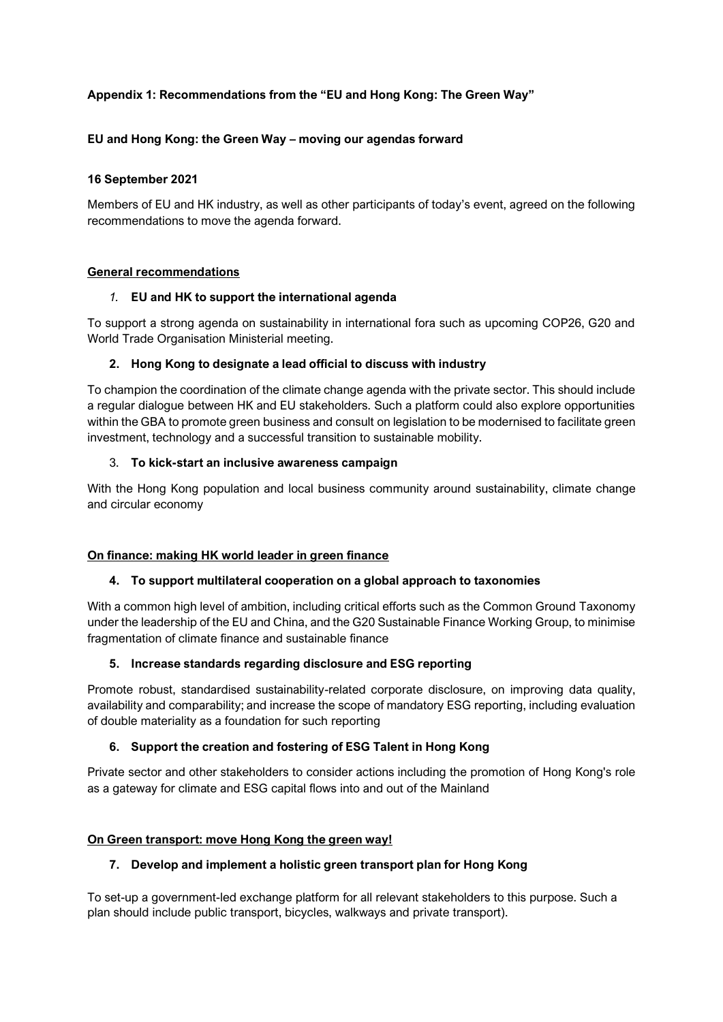## **Appendix 1: Recommendations from the "EU and Hong Kong: The Green Way"**

### **EU and Hong Kong: the Green Way – moving our agendas forward**

#### **16 September 2021**

Members of EU and HK industry, as well as other participants of today's event, agreed on the following recommendations to move the agenda forward.

#### **General recommendations**

#### *1.* **EU and HK to support the international agenda**

To support a strong agenda on sustainability in international fora such as upcoming COP26, G20 and World Trade Organisation Ministerial meeting.

#### **2. Hong Kong to designate a lead official to discuss with industry**

To champion the coordination of the climate change agenda with the private sector. This should include a regular dialogue between HK and EU stakeholders. Such a platform could also explore opportunities within the GBA to promote green business and consult on legislation to be modernised to facilitate green investment, technology and a successful transition to sustainable mobility.

#### 3. **To kick-start an inclusive awareness campaign**

With the Hong Kong population and local business community around sustainability, climate change and circular economy

#### **On finance: making HK world leader in green finance**

#### **4. To support multilateral cooperation on a global approach to taxonomies**

With a common high level of ambition, including critical efforts such as the Common Ground Taxonomy under the leadership of the EU and China, and the G20 Sustainable Finance Working Group, to minimise fragmentation of climate finance and sustainable finance

#### **5. Increase standards regarding disclosure and ESG reporting**

Promote robust, standardised sustainability-related corporate disclosure, on improving data quality, availability and comparability; and increase the scope of mandatory ESG reporting, including evaluation of double materiality as a foundation for such reporting

#### **6. Support the creation and fostering of ESG Talent in Hong Kong**

Private sector and other stakeholders to consider actions including the promotion of Hong Kong's role as a gateway for climate and ESG capital flows into and out of the Mainland

#### **On Green transport: move Hong Kong the green way!**

#### **7. Develop and implement a holistic green transport plan for Hong Kong**

To set-up a government-led exchange platform for all relevant stakeholders to this purpose. Such a plan should include public transport, bicycles, walkways and private transport).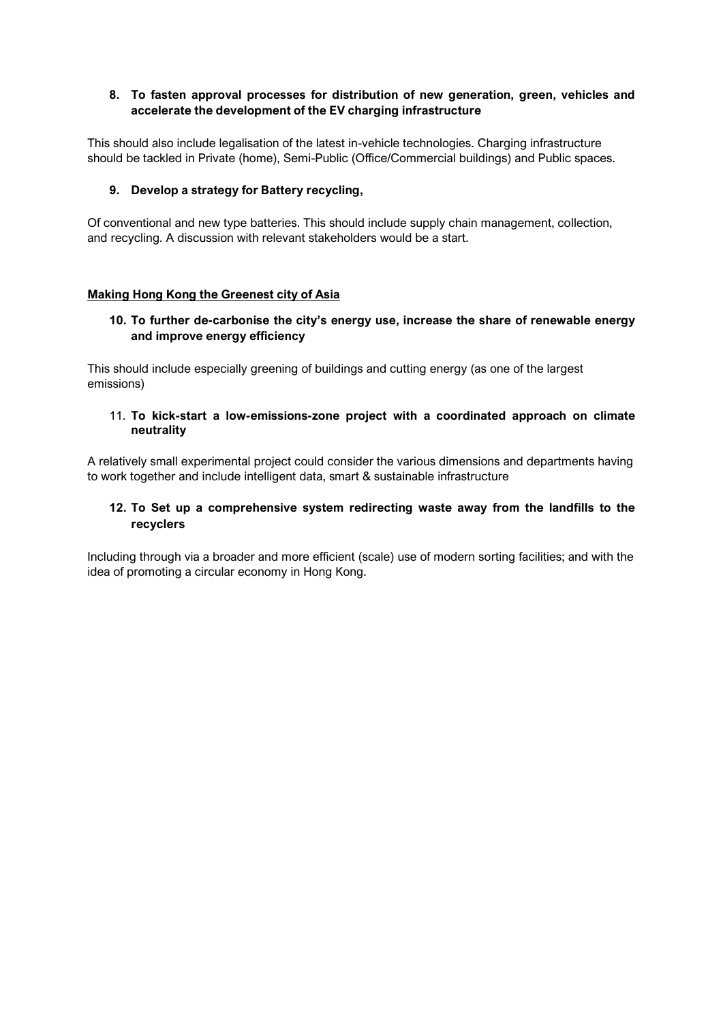### **8. To fasten approval processes for distribution of new generation, green, vehicles and accelerate the development of the EV charging infrastructure**

This should also include legalisation of the latest in-vehicle technologies. Charging infrastructure should be tackled in Private (home), Semi-Public (Office/Commercial buildings) and Public spaces.

#### **9. Develop a strategy for Battery recycling,**

Of conventional and new type batteries. This should include supply chain management, collection, and recycling. A discussion with relevant stakeholders would be a start.

#### **Making Hong Kong the Greenest city of Asia**

### **10. To further de-carbonise the city's energy use, increase the share of renewable energy and improve energy efficiency**

This should include especially greening of buildings and cutting energy (as one of the largest emissions)

#### 11. **To kick-start a low-emissions-zone project with a coordinated approach on climate neutrality**

A relatively small experimental project could consider the various dimensions and departments having to work together and include intelligent data, smart & sustainable infrastructure

#### **12. To Set up a comprehensive system redirecting waste away from the landfills to the recyclers**

Including through via a broader and more efficient (scale) use of modern sorting facilities; and with the idea of promoting a circular economy in Hong Kong.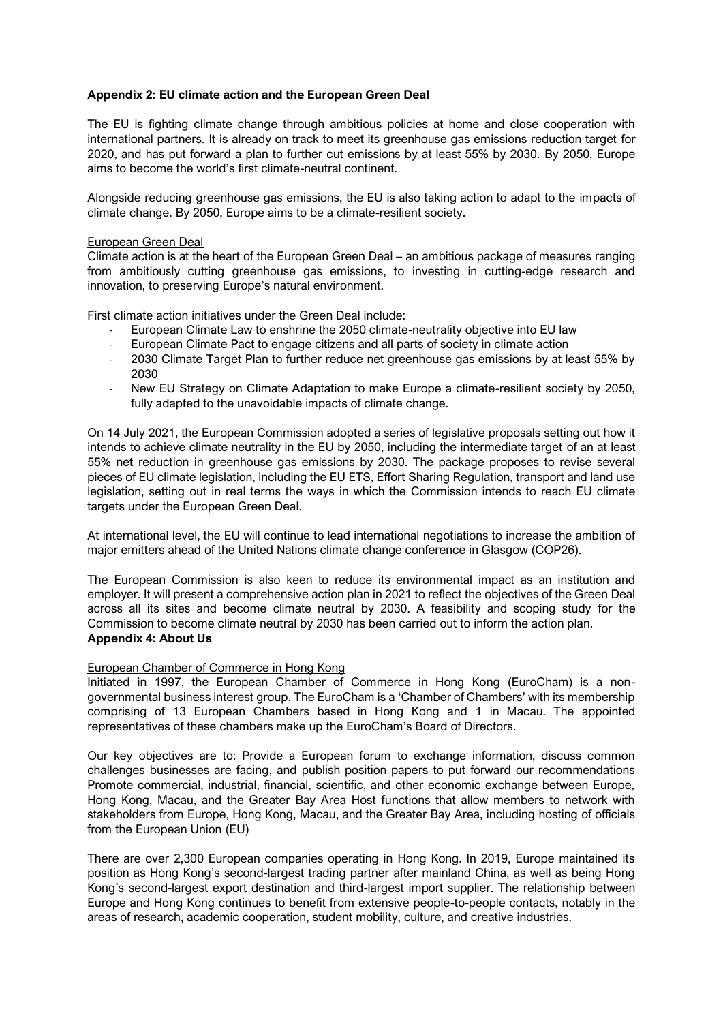#### **Appendix 2: EU climate action and the European Green Deal**

The EU is fighting climate change through ambitious policies at home and close cooperation with international partners. It is already on track to meet its greenhouse gas emissions reduction target for 2020, and has put forward a plan to further cut emissions by at least 55% by 2030. By 2050, Europe aims to become the world's first climate-neutral continent.

Alongside reducing greenhouse gas emissions, the EU is also taking action to adapt to the impacts of climate change. By 2050, Europe aims to be a climate-resilient society.

#### European Green Deal

Climate action is at the heart of the European Green Deal – an ambitious package of measures ranging from ambitiously cutting greenhouse gas emissions, to investing in cutting-edge research and innovation, to preserving Europe's natural environment.

First climate action initiatives under the Green Deal include:

- European Climate Law to enshrine the 2050 climate-neutrality objective into EU law
- European Climate Pact to engage citizens and all parts of society in climate action
- 2030 Climate Target Plan to further reduce net greenhouse gas emissions by at least 55% by 2030
- New EU Strategy on Climate Adaptation to make Europe a climate-resilient society by 2050, fully adapted to the unavoidable impacts of climate change.

On 14 July 2021, the European Commission adopted a series of legislative proposals setting out how it intends to achieve climate neutrality in the EU by 2050, including the intermediate target of an at least 55% net reduction in greenhouse gas emissions by 2030. The package proposes to revise several pieces of EU climate legislation, including the EU ETS, Effort Sharing Regulation, transport and land use legislation, setting out in real terms the ways in which the Commission intends to reach EU climate targets under the European Green Deal.

At international level, the EU will continue to lead international negotiations to increase the ambition of major emitters ahead of the United Nations climate change conference in Glasgow (COP26).

The European Commission is also keen to reduce its environmental impact as an institution and employer. It will present a comprehensive action plan in 2021 to reflect the objectives of the Green Deal across all its sites and become climate neutral by 2030. A feasibility and scoping study for the Commission to become climate neutral by 2030 has been carried out to inform the action plan. **Appendix 4: About Us** 

#### European Chamber of Commerce in Hong Kong

Initiated in 1997, the European Chamber of Commerce in Hong Kong (EuroCham) is a nongovernmental business interest group. The EuroCham is a 'Chamber of Chambers' with its membership comprising of 13 European Chambers based in Hong Kong and 1 in Macau. The appointed representatives of these chambers make up the EuroCham's Board of Directors.

Our key objectives are to: Provide a European forum to exchange information, discuss common challenges businesses are facing, and publish position papers to put forward our recommendations Promote commercial, industrial, financial, scientific, and other economic exchange between Europe, Hong Kong, Macau, and the Greater Bay Area Host functions that allow members to network with stakeholders from Europe, Hong Kong, Macau, and the Greater Bay Area, including hosting of officials from the European Union (EU)

There are over 2,300 European companies operating in Hong Kong. In 2019, Europe maintained its position as Hong Kong's second-largest trading partner after mainland China, as well as being Hong Kong's second-largest export destination and third-largest import supplier. The relationship between Europe and Hong Kong continues to benefit from extensive people-to-people contacts, notably in the areas of research, academic cooperation, student mobility, culture, and creative industries.